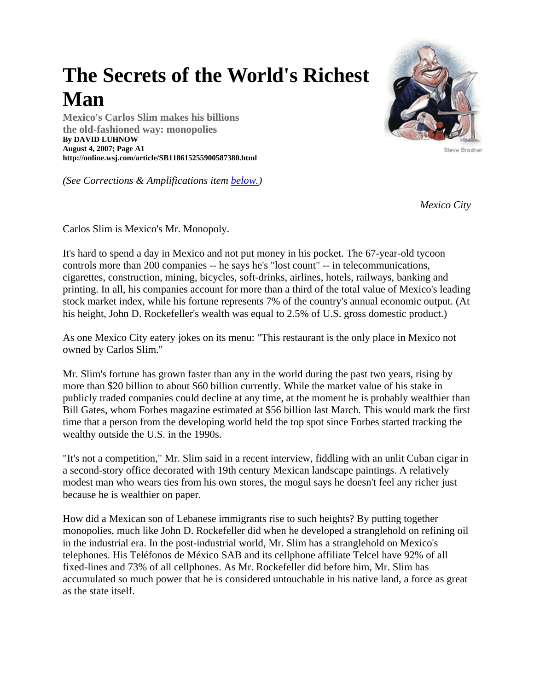## **The Secrets of the World's Richest Man**

**Mexico's Carlos Slim makes his billions the old-fashioned way: monopolies By DAVID LUHNOW August 4, 2007; Page A1 http://online.wsj.com/article/SB118615255900587380.html** 

*(See Corrections & Amplifications item below.)*



Steve Brodner

*Mexico City*

Carlos Slim is Mexico's Mr. Monopoly.

It's hard to spend a day in Mexico and not put money in his pocket. The 67-year-old tycoon controls more than 200 companies -- he says he's "lost count" -- in telecommunications, cigarettes, construction, mining, bicycles, soft-drinks, airlines, hotels, railways, banking and printing. In all, his companies account for more than a third of the total value of Mexico's leading stock market index, while his fortune represents 7% of the country's annual economic output. (At his height, John D. Rockefeller's wealth was equal to 2.5% of U.S. gross domestic product.)

As one Mexico City eatery jokes on its menu: "This restaurant is the only place in Mexico not owned by Carlos Slim."

Mr. Slim's fortune has grown faster than any in the world during the past two years, rising by more than \$20 billion to about \$60 billion currently. While the market value of his stake in publicly traded companies could decline at any time, at the moment he is probably wealthier than Bill Gates, whom Forbes magazine estimated at \$56 billion last March. This would mark the first time that a person from the developing world held the top spot since Forbes started tracking the wealthy outside the U.S. in the 1990s.

"It's not a competition," Mr. Slim said in a recent interview, fiddling with an unlit Cuban cigar in a second-story office decorated with 19th century Mexican landscape paintings. A relatively modest man who wears ties from his own stores, the mogul says he doesn't feel any richer just because he is wealthier on paper.

How did a Mexican son of Lebanese immigrants rise to such heights? By putting together monopolies, much like John D. Rockefeller did when he developed a stranglehold on refining oil in the industrial era. In the post-industrial world, Mr. Slim has a stranglehold on Mexico's telephones. His Teléfonos de México SAB and its cellphone affiliate Telcel have 92% of all fixed-lines and 73% of all cellphones. As Mr. Rockefeller did before him, Mr. Slim has accumulated so much power that he is considered untouchable in his native land, a force as great as the state itself.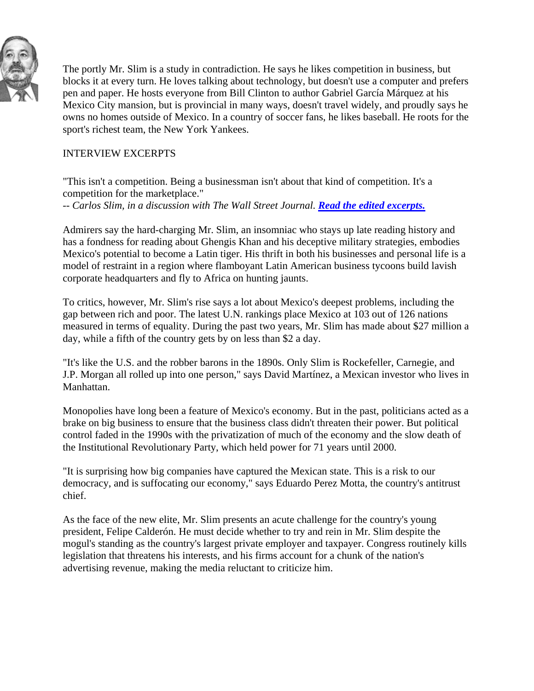

The portly Mr. Slim is a study in contradiction. He says he likes competition in business, but blocks it at every turn. He loves talking about technology, but doesn't use a computer and prefers pen and paper. He hosts everyone from Bill Clinton to author Gabriel García Márquez at his Mexico City mansion, but is provincial in many ways, doesn't travel widely, and proudly says he owns no homes outside of Mexico. In a country of soccer fans, he likes baseball. He roots for the sport's richest team, the New York Yankees.

## INTERVIEW EXCERPTS

"This isn't a competition. Being a businessman isn't about that kind of competition. It's a competition for the marketplace."

*-- Carlos Slim, in a discussion with The Wall Street Journal. Read the edited excerpts.*

Admirers say the hard-charging Mr. Slim, an insomniac who stays up late reading history and has a fondness for reading about Ghengis Khan and his deceptive military strategies, embodies Mexico's potential to become a Latin tiger. His thrift in both his businesses and personal life is a model of restraint in a region where flamboyant Latin American business tycoons build lavish corporate headquarters and fly to Africa on hunting jaunts.

To critics, however, Mr. Slim's rise says a lot about Mexico's deepest problems, including the gap between rich and poor. The latest U.N. rankings place Mexico at 103 out of 126 nations measured in terms of equality. During the past two years, Mr. Slim has made about \$27 million a day, while a fifth of the country gets by on less than \$2 a day.

"It's like the U.S. and the robber barons in the 1890s. Only Slim is Rockefeller, Carnegie, and J.P. Morgan all rolled up into one person," says David Martínez, a Mexican investor who lives in Manhattan.

Monopolies have long been a feature of Mexico's economy. But in the past, politicians acted as a brake on big business to ensure that the business class didn't threaten their power. But political control faded in the 1990s with the privatization of much of the economy and the slow death of the Institutional Revolutionary Party, which held power for 71 years until 2000.

"It is surprising how big companies have captured the Mexican state. This is a risk to our democracy, and is suffocating our economy," says Eduardo Perez Motta, the country's antitrust chief.

As the face of the new elite, Mr. Slim presents an acute challenge for the country's young president, Felipe Calderón. He must decide whether to try and rein in Mr. Slim despite the mogul's standing as the country's largest private employer and taxpayer. Congress routinely kills legislation that threatens his interests, and his firms account for a chunk of the nation's advertising revenue, making the media reluctant to criticize him.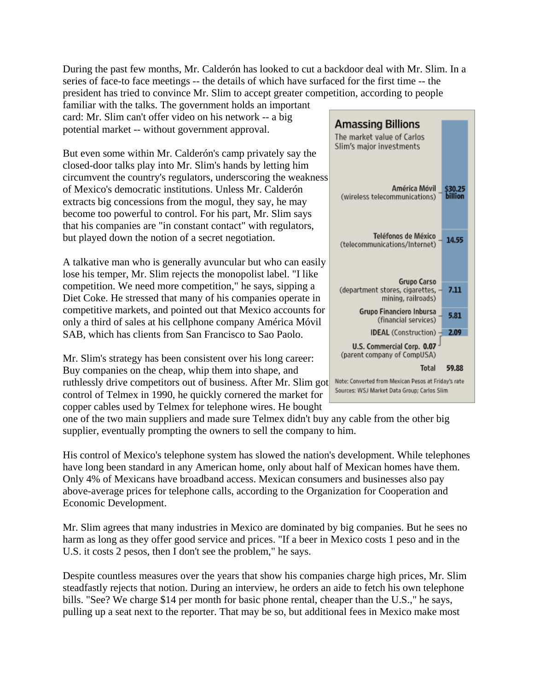During the past few months, Mr. Calderón has looked to cut a backdoor deal with Mr. Slim. In a series of face-to face meetings -- the details of which have surfaced for the first time -- the president has tried to convince Mr. Slim to accept greater competition, according to people

familiar with the talks. The government holds an important card: Mr. Slim can't offer video on his network -- a big potential market -- without government approval.

But even some within Mr. Calderón's camp privately say the closed-door talks play into Mr. Slim's hands by letting him circumvent the country's regulators, underscoring the weakness of Mexico's democratic institutions. Unless Mr. Calderón extracts big concessions from the mogul, they say, he may become too powerful to control. For his part, Mr. Slim says that his companies are "in constant contact" with regulators, but played down the notion of a secret negotiation.

A talkative man who is generally avuncular but who can easily lose his temper, Mr. Slim rejects the monopolist label. "I like competition. We need more competition," he says, sipping a Diet Coke. He stressed that many of his companies operate in competitive markets, and pointed out that Mexico accounts for only a third of sales at his cellphone company América Móvil SAB, which has clients from San Francisco to Sao Paolo.

Mr. Slim's strategy has been consistent over his long career: Buy companies on the cheap, whip them into shape, and ruthlessly drive competitors out of business. After Mr. Slim got control of Telmex in 1990, he quickly cornered the market for copper cables used by Telmex for telephone wires. He bought

one of the two main suppliers and made sure Telmex didn't buy any cable from the other big supplier, eventually prompting the owners to sell the company to him.

His control of Mexico's telephone system has slowed the nation's development. While telephones have long been standard in any American home, only about half of Mexican homes have them. Only 4% of Mexicans have broadband access. Mexican consumers and businesses also pay above-average prices for telephone calls, according to the Organization for Cooperation and Economic Development.

Mr. Slim agrees that many industries in Mexico are dominated by big companies. But he sees no harm as long as they offer good service and prices. "If a beer in Mexico costs 1 peso and in the U.S. it costs 2 pesos, then I don't see the problem," he says.

Despite countless measures over the years that show his companies charge high prices, Mr. Slim steadfastly rejects that notion. During an interview, he orders an aide to fetch his own telephone bills. "See? We charge \$14 per month for basic phone rental, cheaper than the U.S.," he says, pulling up a seat next to the reporter. That may be so, but additional fees in Mexico make most

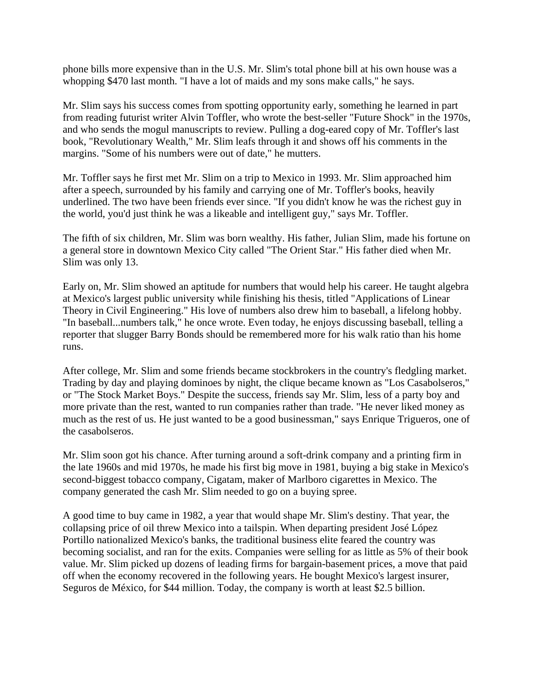phone bills more expensive than in the U.S. Mr. Slim's total phone bill at his own house was a whopping \$470 last month. "I have a lot of maids and my sons make calls," he says.

Mr. Slim says his success comes from spotting opportunity early, something he learned in part from reading futurist writer Alvin Toffler, who wrote the best-seller "Future Shock" in the 1970s, and who sends the mogul manuscripts to review. Pulling a dog-eared copy of Mr. Toffler's last book, "Revolutionary Wealth," Mr. Slim leafs through it and shows off his comments in the margins. "Some of his numbers were out of date," he mutters.

Mr. Toffler says he first met Mr. Slim on a trip to Mexico in 1993. Mr. Slim approached him after a speech, surrounded by his family and carrying one of Mr. Toffler's books, heavily underlined. The two have been friends ever since. "If you didn't know he was the richest guy in the world, you'd just think he was a likeable and intelligent guy," says Mr. Toffler.

The fifth of six children, Mr. Slim was born wealthy. His father, Julian Slim, made his fortune on a general store in downtown Mexico City called "The Orient Star." His father died when Mr. Slim was only 13.

Early on, Mr. Slim showed an aptitude for numbers that would help his career. He taught algebra at Mexico's largest public university while finishing his thesis, titled "Applications of Linear Theory in Civil Engineering." His love of numbers also drew him to baseball, a lifelong hobby. "In baseball...numbers talk," he once wrote. Even today, he enjoys discussing baseball, telling a reporter that slugger Barry Bonds should be remembered more for his walk ratio than his home runs.

After college, Mr. Slim and some friends became stockbrokers in the country's fledgling market. Trading by day and playing dominoes by night, the clique became known as "Los Casabolseros," or "The Stock Market Boys." Despite the success, friends say Mr. Slim, less of a party boy and more private than the rest, wanted to run companies rather than trade. "He never liked money as much as the rest of us. He just wanted to be a good businessman," says Enrique Trigueros, one of the casabolseros.

Mr. Slim soon got his chance. After turning around a soft-drink company and a printing firm in the late 1960s and mid 1970s, he made his first big move in 1981, buying a big stake in Mexico's second-biggest tobacco company, Cigatam, maker of Marlboro cigarettes in Mexico. The company generated the cash Mr. Slim needed to go on a buying spree.

A good time to buy came in 1982, a year that would shape Mr. Slim's destiny. That year, the collapsing price of oil threw Mexico into a tailspin. When departing president José López Portillo nationalized Mexico's banks, the traditional business elite feared the country was becoming socialist, and ran for the exits. Companies were selling for as little as 5% of their book value. Mr. Slim picked up dozens of leading firms for bargain-basement prices, a move that paid off when the economy recovered in the following years. He bought Mexico's largest insurer, Seguros de México, for \$44 million. Today, the company is worth at least \$2.5 billion.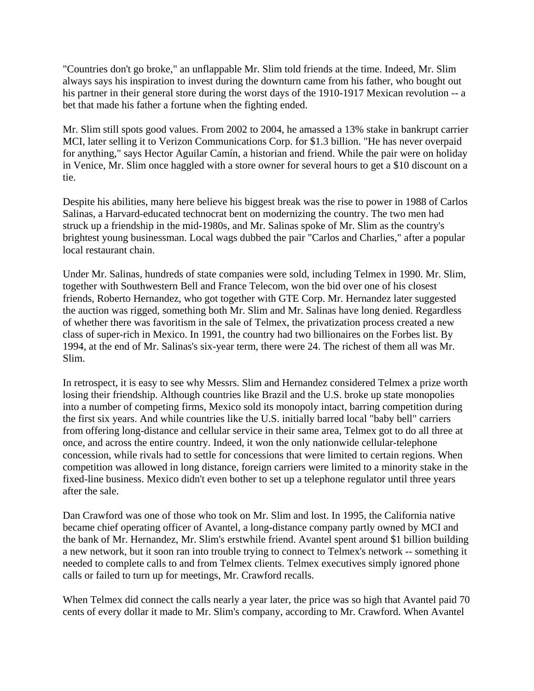"Countries don't go broke," an unflappable Mr. Slim told friends at the time. Indeed, Mr. Slim always says his inspiration to invest during the downturn came from his father, who bought out his partner in their general store during the worst days of the 1910-1917 Mexican revolution -- a bet that made his father a fortune when the fighting ended.

Mr. Slim still spots good values. From 2002 to 2004, he amassed a 13% stake in bankrupt carrier MCI, later selling it to Verizon Communications Corp. for \$1.3 billion. "He has never overpaid for anything," says Hector Aguilar Camín, a historian and friend. While the pair were on holiday in Venice, Mr. Slim once haggled with a store owner for several hours to get a \$10 discount on a tie.

Despite his abilities, many here believe his biggest break was the rise to power in 1988 of Carlos Salinas, a Harvard-educated technocrat bent on modernizing the country. The two men had struck up a friendship in the mid-1980s, and Mr. Salinas spoke of Mr. Slim as the country's brightest young businessman. Local wags dubbed the pair "Carlos and Charlies," after a popular local restaurant chain.

Under Mr. Salinas, hundreds of state companies were sold, including Telmex in 1990. Mr. Slim, together with Southwestern Bell and France Telecom, won the bid over one of his closest friends, Roberto Hernandez, who got together with GTE Corp. Mr. Hernandez later suggested the auction was rigged, something both Mr. Slim and Mr. Salinas have long denied. Regardless of whether there was favoritism in the sale of Telmex, the privatization process created a new class of super-rich in Mexico. In 1991, the country had two billionaires on the Forbes list. By 1994, at the end of Mr. Salinas's six-year term, there were 24. The richest of them all was Mr. Slim.

In retrospect, it is easy to see why Messrs. Slim and Hernandez considered Telmex a prize worth losing their friendship. Although countries like Brazil and the U.S. broke up state monopolies into a number of competing firms, Mexico sold its monopoly intact, barring competition during the first six years. And while countries like the U.S. initially barred local "baby bell" carriers from offering long-distance and cellular service in their same area, Telmex got to do all three at once, and across the entire country. Indeed, it won the only nationwide cellular-telephone concession, while rivals had to settle for concessions that were limited to certain regions. When competition was allowed in long distance, foreign carriers were limited to a minority stake in the fixed-line business. Mexico didn't even bother to set up a telephone regulator until three years after the sale.

Dan Crawford was one of those who took on Mr. Slim and lost. In 1995, the California native became chief operating officer of Avantel, a long-distance company partly owned by MCI and the bank of Mr. Hernandez, Mr. Slim's erstwhile friend. Avantel spent around \$1 billion building a new network, but it soon ran into trouble trying to connect to Telmex's network -- something it needed to complete calls to and from Telmex clients. Telmex executives simply ignored phone calls or failed to turn up for meetings, Mr. Crawford recalls.

When Telmex did connect the calls nearly a year later, the price was so high that Avantel paid 70 cents of every dollar it made to Mr. Slim's company, according to Mr. Crawford. When Avantel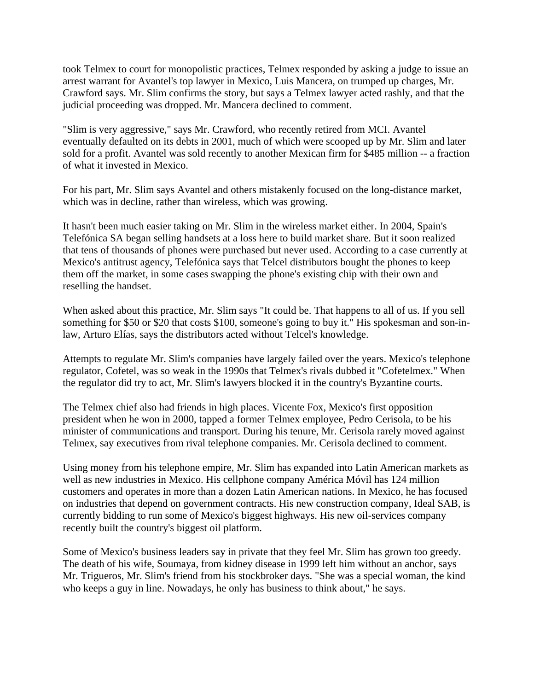took Telmex to court for monopolistic practices, Telmex responded by asking a judge to issue an arrest warrant for Avantel's top lawyer in Mexico, Luis Mancera, on trumped up charges, Mr. Crawford says. Mr. Slim confirms the story, but says a Telmex lawyer acted rashly, and that the judicial proceeding was dropped. Mr. Mancera declined to comment.

"Slim is very aggressive," says Mr. Crawford, who recently retired from MCI. Avantel eventually defaulted on its debts in 2001, much of which were scooped up by Mr. Slim and later sold for a profit. Avantel was sold recently to another Mexican firm for \$485 million -- a fraction of what it invested in Mexico.

For his part, Mr. Slim says Avantel and others mistakenly focused on the long-distance market, which was in decline, rather than wireless, which was growing.

It hasn't been much easier taking on Mr. Slim in the wireless market either. In 2004, Spain's Telefónica SA began selling handsets at a loss here to build market share. But it soon realized that tens of thousands of phones were purchased but never used. According to a case currently at Mexico's antitrust agency, Telefónica says that Telcel distributors bought the phones to keep them off the market, in some cases swapping the phone's existing chip with their own and reselling the handset.

When asked about this practice, Mr. Slim says "It could be. That happens to all of us. If you sell something for \$50 or \$20 that costs \$100, someone's going to buy it." His spokesman and son-inlaw, Arturo Elías, says the distributors acted without Telcel's knowledge.

Attempts to regulate Mr. Slim's companies have largely failed over the years. Mexico's telephone regulator, Cofetel, was so weak in the 1990s that Telmex's rivals dubbed it "Cofetelmex." When the regulator did try to act, Mr. Slim's lawyers blocked it in the country's Byzantine courts.

The Telmex chief also had friends in high places. Vicente Fox, Mexico's first opposition president when he won in 2000, tapped a former Telmex employee, Pedro Cerisola, to be his minister of communications and transport. During his tenure, Mr. Cerisola rarely moved against Telmex, say executives from rival telephone companies. Mr. Cerisola declined to comment.

Using money from his telephone empire, Mr. Slim has expanded into Latin American markets as well as new industries in Mexico. His cellphone company América Móvil has 124 million customers and operates in more than a dozen Latin American nations. In Mexico, he has focused on industries that depend on government contracts. His new construction company, Ideal SAB, is currently bidding to run some of Mexico's biggest highways. His new oil-services company recently built the country's biggest oil platform.

Some of Mexico's business leaders say in private that they feel Mr. Slim has grown too greedy. The death of his wife, Soumaya, from kidney disease in 1999 left him without an anchor, says Mr. Trigueros, Mr. Slim's friend from his stockbroker days. "She was a special woman, the kind who keeps a guy in line. Nowadays, he only has business to think about," he says.